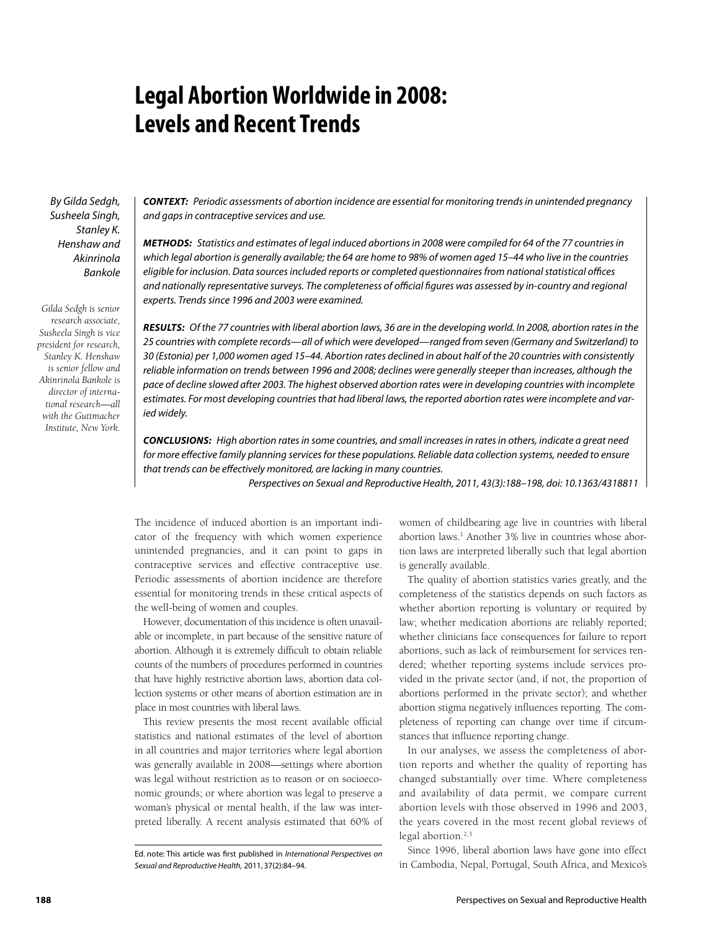# **Legal Abortion Worldwide in 2008: Levels and Recent Trends**

By Gilda Sedgh, Susheela Singh, Stanley K. Henshaw and Akinrinola Bankole

*Gilda Sedgh is senior research associate, Susheela Singh is vice president for research, Stanley K. Henshaw is senior fellow and Akinrinola Bankole is director of international research—all with the Guttmacher Institute, New York.*

*CONTEXT:* Periodic assessments of abortion incidence are essential for monitoring trends in unintended pregnancy and gaps in contraceptive services and use.

*METHODS:* Statistics and estimates of legal induced abortions in 2008 were compiled for 64 of the 77 countries in which legal abortion is generally available; the 64 are home to 98% of women aged 15–44 who live in the countries eligible for inclusion. Data sources included reports or completed questionnaires from national statistical offices and nationally representative surveys. The completeness of official figures was assessed by in-country and regional experts. Trends since 1996 and 2003 were examined.

*RESULTS:* Of the 77 countries with liberal abortion laws, 36 are in the developing world. In 2008, abortion rates in the 25 countries with complete records—all of which were developed—ranged from seven (Germany and Switzerland) to 30 (Estonia) per 1,000 women aged 15–44. Abortion rates declined in about half of the 20 countries with consistently reliable information on trends between 1996 and 2008; declines were generally steeper than increases, although the pace of decline slowed after 2003. The highest observed abortion rates were in developing countries with incomplete estimates. For most developing countries that had liberal laws, the reported abortion rates were incomplete and varied widely.

*CONCLUSIONS:* High abortion rates in some countries, and small increases in rates in others, indicate a great need for more effective family planning services for these populations. Reliable data collection systems, needed to ensure that trends can be effectively monitored, are lacking in many countries.

Perspectives on Sexual and Reproductive Health, 2011, 43(3):188–198, doi: 10.1363/4318811

The incidence of induced abortion is an important indicator of the frequency with which women experience unintended pregnancies, and it can point to gaps in contraceptive services and effective contraceptive use. Periodic assessments of abortion incidence are therefore essential for monitoring trends in these critical aspects of the well-being of women and couples.

However, documentation of this incidence is often unavailable or incomplete, in part because of the sensitive nature of abortion. Although it is extremely difficult to obtain reliable counts of the numbers of procedures performed in countries that have highly restrictive abortion laws, abortion data collection systems or other means of abortion estimation are in place in most countries with liberal laws.

This review presents the most recent available official statistics and national estimates of the level of abortion in all countries and major territories where legal abortion was generally available in 2008—settings where abortion was legal without restriction as to reason or on socioeconomic grounds; or where abortion was legal to preserve a woman's physical or mental health, if the law was interpreted liberally. A recent analysis estimated that 60% of

women of childbearing age live in countries with liberal abortion laws.<sup>1</sup> Another 3% live in countries whose abortion laws are interpreted liberally such that legal abortion is generally available.

The quality of abortion statistics varies greatly, and the completeness of the statistics depends on such factors as whether abortion reporting is voluntary or required by law; whether medication abortions are reliably reported; whether clinicians face consequences for failure to report abortions, such as lack of reimbursement for services rendered; whether reporting systems include services provided in the private sector (and, if not, the proportion of abortions performed in the private sector); and whether abortion stigma negatively influences reporting. The completeness of reporting can change over time if circumstances that influence reporting change.

In our analyses, we assess the completeness of abortion reports and whether the quality of reporting has changed substantially over time. Where completeness and availability of data permit, we compare current abortion levels with those observed in 1996 and 2003, the years covered in the most recent global reviews of legal abortion.<sup>2,3</sup>

Since 1996, liberal abortion laws have gone into effect in Cambodia, Nepal, Portugal, South Africa, and Mexico's

Ed. note: This article was first published in *International Perspectives on Sexual and Reproductive Health,* 2011, 37(2):84–94.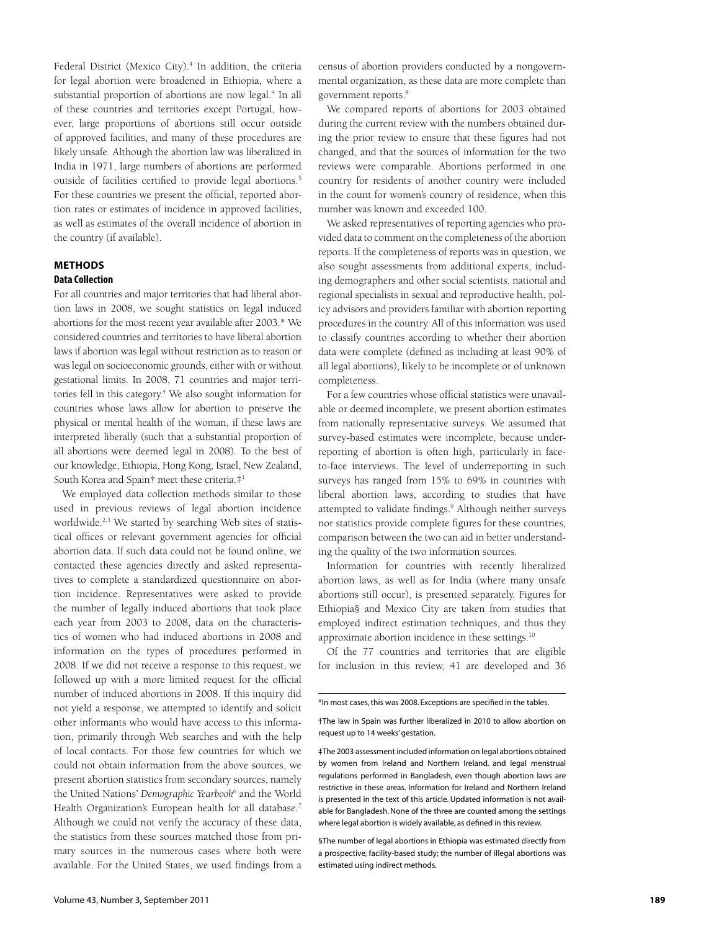Federal District (Mexico City).<sup>4</sup> In addition, the criteria for legal abortion were broadened in Ethiopia, where a substantial proportion of abortions are now legal.<sup>4</sup> In all of these countries and territories except Portugal, however, large proportions of abortions still occur outside of approved facilities, and many of these procedures are likely unsafe. Although the abortion law was liberalized in India in 1971, large numbers of abortions are performed outside of facilities certified to provide legal abortions.<sup>5</sup> For these countries we present the official, reported abortion rates or estimates of incidence in approved facilities, as well as estimates of the overall incidence of abortion in the country (if available).

## **METHODS Data Collection**

For all countries and major territories that had liberal abortion laws in 2008, we sought statistics on legal induced abortions for the most recent year available after 2003.\* We considered countries and territories to have liberal abortion laws if abortion was legal without restriction as to reason or was legal on socioeconomic grounds, either with or without gestational limits. In 2008, 71 countries and major territories fell in this category.<sup>4</sup> We also sought information for countries whose laws allow for abortion to preserve the physical or mental health of the woman, if these laws are interpreted liberally (such that a substantial proportion of all abortions were deemed legal in 2008). To the best of our knowledge, Ethiopia, Hong Kong, Israel, New Zealand, South Korea and Spain† meet these criteria.‡1

We employed data collection methods similar to those used in previous reviews of legal abortion incidence worldwide.<sup>2,3</sup> We started by searching Web sites of statistical offices or relevant government agencies for official abortion data. If such data could not be found online, we contacted these agencies directly and asked representatives to complete a standardized questionnaire on abortion incidence. Representatives were asked to provide the number of legally induced abortions that took place each year from 2003 to 2008, data on the characteristics of women who had induced abortions in 2008 and information on the types of procedures performed in 2008. If we did not receive a response to this request, we followed up with a more limited request for the official number of induced abortions in 2008. If this inquiry did not yield a response, we attempted to identify and solicit other informants who would have access to this information, primarily through Web searches and with the help of local contacts. For those few countries for which we could not obtain information from the above sources, we present abortion statistics from secondary sources, namely the United Nations*' Demographic Yearbook*<sup>6</sup> and the World Health Organization's European health for all database.<sup>7</sup> Although we could not verify the accuracy of these data, the statistics from these sources matched those from primary sources in the numerous cases where both were available. For the United States, we used findings from a

census of abortion providers conducted by a nongovernmental organization, as these data are more complete than government reports.8

We compared reports of abortions for 2003 obtained during the current review with the numbers obtained during the prior review to ensure that these figures had not changed, and that the sources of information for the two reviews were comparable. Abortions performed in one country for residents of another country were included in the count for women's country of residence, when this number was known and exceeded 100.

We asked representatives of reporting agencies who provided data to comment on the completeness of the abortion reports. If the completeness of reports was in question, we also sought assessments from additional experts, including demographers and other social scientists, national and regional specialists in sexual and reproductive health, policy advisors and providers familiar with abortion reporting procedures in the country. All of this information was used to classify countries according to whether their abortion data were complete (defined as including at least 90% of all legal abortions), likely to be incomplete or of unknown completeness.

For a few countries whose official statistics were unavailable or deemed incomplete, we present abortion estimates from nationally representative surveys. We assumed that survey-based estimates were incomplete, because underreporting of abortion is often high, particularly in faceto-face interviews. The level of underreporting in such surveys has ranged from 15% to 69% in countries with liberal abortion laws, according to studies that have attempted to validate findings.<sup>9</sup> Although neither surveys nor statistics provide complete figures for these countries, comparison between the two can aid in better understanding the quality of the two information sources.

Information for countries with recently liberalized abortion laws, as well as for India (where many unsafe abortions still occur), is presented separately. Figures for Ethiopia§ and Mexico City are taken from studies that employed indirect estimation techniques, and thus they approximate abortion incidence in these settings.<sup>10</sup>

Of the 77 countries and territories that are eligible for inclusion in this review, 41 are developed and 36

§The number of legal abortions in Ethiopia was estimated directly from a prospective, facility-based study; the number of illegal abortions was estimated using indirect methods.

<sup>\*</sup>In most cases, this was 2008. Exceptions are specified in the tables.

<sup>†</sup>The law in Spain was further liberalized in 2010 to allow abortion on request up to 14 weeks' gestation.

<sup>‡</sup>The 2003 assessment included information on legal abortions obtained by women from Ireland and Northern Ireland, and legal menstrual regulations performed in Bangladesh, even though abortion laws are restrictive in these areas. Information for Ireland and Northern Ireland is presented in the text of this article. Updated information is not available for Bangladesh. None of the three are counted among the settings where legal abortion is widely available, as defined in this review.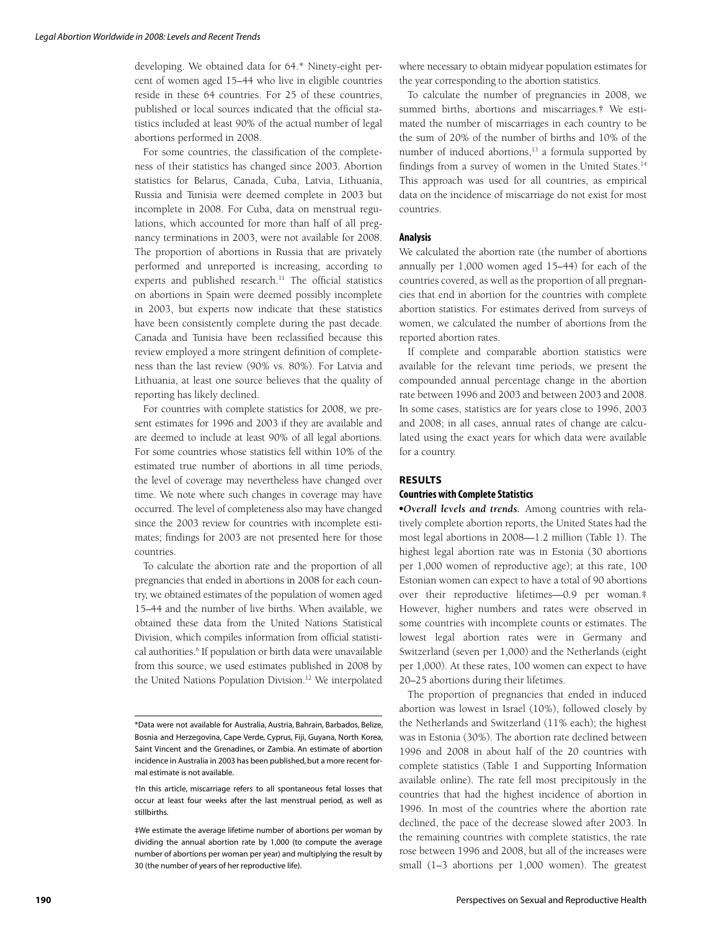developing. We obtained data for 64.\* Ninety-eight percent of women aged 15–44 who live in eligible countries reside in these 64 countries. For 25 of these countries, published or local sources indicated that the official statistics included at least 90% of the actual number of legal abortions performed in 2008.

For some countries, the classification of the completeness of their statistics has changed since 2003. Abortion statistics for Belarus, Canada, Cuba, Latvia, Lithuania, Russia and Tunisia were deemed complete in 2003 but incomplete in 2008. For Cuba, data on menstrual regulations, which accounted for more than half of all pregnancy terminations in 2003, were not available for 2008. The proportion of abortions in Russia that are privately performed and unreported is increasing, according to experts and published research.<sup>11</sup> The official statistics on abortions in Spain were deemed possibly incomplete in 2003, but experts now indicate that these statistics have been consistently complete during the past decade. Canada and Tunisia have been reclassified because this review employed a more stringent definition of completeness than the last review (90% vs. 80%). For Latvia and Lithuania, at least one source believes that the quality of reporting has likely declined.

For countries with complete statistics for 2008, we present estimates for 1996 and 2003 if they are available and are deemed to include at least 90% of all legal abortions. For some countries whose statistics fell within 10% of the estimated true number of abortions in all time periods, the level of coverage may nevertheless have changed over time. We note where such changes in coverage may have occurred. The level of completeness also may have changed since the 2003 review for countries with incomplete estimates; findings for 2003 are not presented here for those countries.

To calculate the abortion rate and the proportion of all pregnancies that ended in abortions in 2008 for each country, we obtained estimates of the population of women aged 15–44 and the number of live births. When available, we obtained these data from the United Nations Statistical Division, which compiles information from official statistical authorities.<sup>6</sup> If population or birth data were unavailable from this source, we used estimates published in 2008 by the United Nations Population Division.<sup>12</sup> We interpolated

where necessary to obtain midyear population estimates for the year corresponding to the abortion statistics.

To calculate the number of pregnancies in 2008, we summed births, abortions and miscarriages.† We estimated the number of miscarriages in each country to be the sum of 20% of the number of births and 10% of the number of induced abortions,<sup>13</sup> a formula supported by findings from a survey of women in the United States.<sup>14</sup> This approach was used for all countries, as empirical data on the incidence of miscarriage do not exist for most countries.

#### **Analysis**

We calculated the abortion rate (the number of abortions annually per 1,000 women aged 15–44) for each of the countries covered, as well as the proportion of all pregnancies that end in abortion for the countries with complete abortion statistics. For estimates derived from surveys of women, we calculated the number of abortions from the reported abortion rates.

If complete and comparable abortion statistics were available for the relevant time periods, we present the compounded annual percentage change in the abortion rate between 1996 and 2003 and between 2003 and 2008. In some cases, statistics are for years close to 1996, 2003 and 2008; in all cases, annual rates of change are calculated using the exact years for which data were available for a country.

### **RESULTS**

#### **Countries with Complete Statistics**

-*Overall levels and trends.* Among countries with relatively complete abortion reports, the United States had the most legal abortions in 2008—1.2 million (Table 1). The highest legal abortion rate was in Estonia (30 abortions per 1,000 women of reproductive age); at this rate, 100 Estonian women can expect to have a total of 90 abortions over their reproductive lifetimes—0.9 per woman.‡ However, higher numbers and rates were observed in some countries with incomplete counts or estimates. The lowest legal abortion rates were in Germany and Switzerland (seven per 1,000) and the Netherlands (eight per 1,000). At these rates, 100 women can expect to have 20–25 abortions during their lifetimes.

The proportion of pregnancies that ended in induced abortion was lowest in Israel (10%), followed closely by the Netherlands and Switzerland (11% each); the highest was in Estonia (30%). The abortion rate declined between 1996 and 2008 in about half of the 20 countries with complete statistics (Table 1 and Supporting Information available online). The rate fell most precipitously in the countries that had the highest incidence of abortion in 1996. In most of the countries where the abortion rate declined, the pace of the decrease slowed after 2003. In the remaining countries with complete statistics, the rate rose between 1996 and 2008, but all of the increases were small (1–3 abortions per 1,000 women). The greatest

<sup>\*</sup>Data were not available for Australia, Austria, Bahrain, Barbados, Belize, Bosnia and Herzegovina, Cape Verde, Cyprus, Fiji, Guyana, North Korea, Saint Vincent and the Grenadines, or Zambia. An estimate of abortion incidence in Australia in 2003 has been published, but a more recent formal estimate is not available.

<sup>†</sup>In this article, miscarriage refers to all spontaneous fetal losses that occur at least four weeks after the last menstrual period, as well as stillbirths.

<sup>‡</sup>We estimate the average lifetime number of abortions per woman by dividing the annual abortion rate by 1,000 (to compute the average number of abortions per woman per year) and multiplying the result by 30 (the number of years of her reproductive life).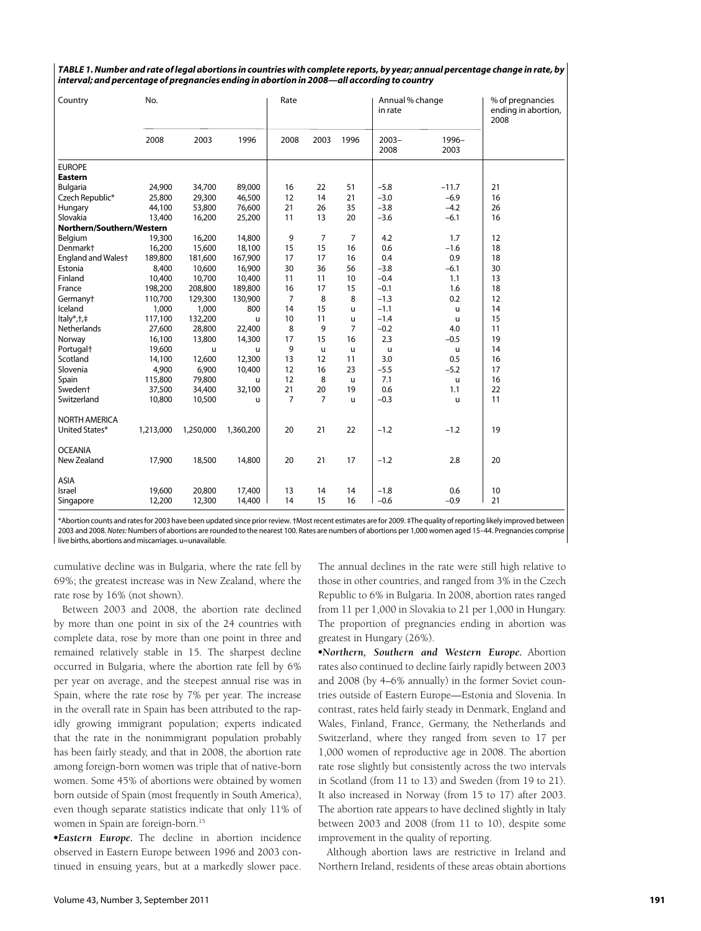| TABLE 1. Number and rate of legal abortions in countries with complete reports, by year; annual percentage change in rate, by |
|-------------------------------------------------------------------------------------------------------------------------------|
| interval; and percentage of pregnancies ending in abortion in 2008—all according to country                                   |

| Country                   | No.       |           |           | Rate |                |                | Annual % change<br>in rate |               | % of pregnancies<br>ending in abortion,<br>2008 |
|---------------------------|-----------|-----------|-----------|------|----------------|----------------|----------------------------|---------------|-------------------------------------------------|
|                           | 2008      | 2003      | 1996      | 2008 | 2003           | 1996           | $2003 -$<br>2008           | 1996-<br>2003 |                                                 |
| <b>EUROPE</b>             |           |           |           |      |                |                |                            |               |                                                 |
| Eastern                   |           |           |           |      |                |                |                            |               |                                                 |
| Bulgaria                  | 24,900    | 34,700    | 89,000    | 16   | 22             | 51             | $-5.8$                     | $-11.7$       | 21                                              |
| Czech Republic*           | 25,800    | 29,300    | 46,500    | 12   | 14             | 21             | $-3.0$                     | $-6.9$        | 16                                              |
| Hungary                   | 44,100    | 53,800    | 76,600    | 21   | 26             | 35             | $-3.8$                     | $-4.2$        | 26                                              |
| Slovakia                  | 13,400    | 16,200    | 25,200    | 11   | 13             | 20             | $-3.6$                     | $-6.1$        | 16                                              |
| Northern/Southern/Western |           |           |           |      |                |                |                            |               |                                                 |
| Belgium                   | 19,300    | 16,200    | 14,800    | 9    | $\overline{7}$ | $\overline{7}$ | 4.2                        | 1.7           | 12                                              |
| Denmarkt                  | 16,200    | 15,600    | 18,100    | 15   | 15             | 16             | 0.6                        | $-1.6$        | 18                                              |
| England and Walest        | 189,800   | 181,600   | 167,900   | 17   | 17             | 16             | 0.4                        | 0.9           | 18                                              |
| Estonia                   | 8,400     | 10,600    | 16,900    | 30   | 36             | 56             | $-3.8$                     | $-6.1$        | 30                                              |
| Finland                   | 10,400    | 10,700    | 10,400    | 11   | 11             | 10             | $-0.4$                     | 1.1           | 13                                              |
| France                    | 198,200   | 208,800   | 189,800   | 16   | 17             | 15             | $-0.1$                     | 1.6           | 18                                              |
| Germany <sup>+</sup>      | 110,700   | 129,300   | 130,900   | 7    | 8              | 8              | $-1.3$                     | 0.2           | 12                                              |
| Iceland                   | 1,000     | 1,000     | 800       | 14   | 15             | u              | $-1.1$                     | u             | 14                                              |
| ltaly*, +, +              | 117,100   | 132,200   | u         | 10   | 11             | u              | $-1.4$                     | u             | 15                                              |
| Netherlands               | 27,600    | 28,800    | 22,400    | 8    | 9              | 7              | $-0.2$                     | 4.0           | 11                                              |
| Norway                    | 16,100    | 13,800    | 14,300    | 17   | 15             | 16             | 2.3                        | $-0.5$        | 19                                              |
| Portugal <sup>+</sup>     | 19,600    | u.        | u.        | 9    | u              | $\mathsf{u}$   | u                          | u             | 14                                              |
| Scotland                  | 14,100    | 12,600    | 12,300    | 13   | 12             | 11             | 3.0                        | 0.5           | 16                                              |
| Slovenia                  | 4,900     | 6,900     | 10,400    | 12   | 16             | 23             | $-5.5$                     | $-5.2$        | 17                                              |
| Spain                     | 115,800   | 79,800    | u         | 12   | 8              | u              | 7.1                        | u             | 16                                              |
| Swedent                   | 37,500    | 34,400    | 32,100    | 21   | 20             | 19             | 0.6                        | 1.1           | 22                                              |
| Switzerland               | 10,800    | 10,500    | u         | 7    | 7              | u              | $-0.3$                     | u             | 11                                              |
| <b>NORTH AMERICA</b>      |           |           |           |      |                |                |                            |               |                                                 |
| United States*            | 1,213,000 | 1,250,000 | 1,360,200 | 20   | 21             | 22             | $-1.2$                     | $-1.2$        | 19                                              |
| <b>OCEANIA</b>            |           |           |           |      |                |                |                            |               |                                                 |
| New Zealand               | 17,900    | 18,500    | 14,800    | 20   | 21             | 17             | $-1.2$                     | 2.8           | 20                                              |
| <b>ASIA</b>               |           |           |           |      |                |                |                            |               |                                                 |
| Israel                    | 19,600    | 20,800    | 17,400    | 13   | 14             | 14             | $-1.8$                     | 0.6           | 10                                              |
| Singapore                 | 12,200    | 12,300    | 14,400    | 14   | 15             | 16             | $-0.6$                     | $-0.9$        | 21                                              |

\*Abortion counts and rates for 2003 have been updated since prior review. †Most recent estimates are for 2009. ‡The quality of reporting likely improved between 2003 and 2008. *Notes:* Numbers of abortions are rounded to the nearest 100. Rates are numbers of abortions per 1,000 women aged 15–44. Pregnancies comprise live births, abortions and miscarriages. u=unavailable.

cumulative decline was in Bulgaria, where the rate fell by 69%; the greatest increase was in New Zealand, where the rate rose by 16% (not shown).

Between 2003 and 2008, the abortion rate declined by more than one point in six of the 24 countries with complete data, rose by more than one point in three and remained relatively stable in 15. The sharpest decline occurred in Bulgaria, where the abortion rate fell by 6% per year on average, and the steepest annual rise was in Spain, where the rate rose by 7% per year. The increase in the overall rate in Spain has been attributed to the rapidly growing immigrant population; experts indicated that the rate in the nonimmigrant population probably has been fairly steady, and that in 2008, the abortion rate among foreign-born women was triple that of native-born women. Some 45% of abortions were obtained by women born outside of Spain (most frequently in South America), even though separate statistics indicate that only 11% of women in Spain are foreign-born.<sup>15</sup>

-*Eastern Europe.* The decline in abortion incidence observed in Eastern Europe between 1996 and 2003 continued in ensuing years, but at a markedly slower pace.

The annual declines in the rate were still high relative to those in other countries, and ranged from 3% in the Czech Republic to 6% in Bulgaria. In 2008, abortion rates ranged from 11 per 1,000 in Slovakia to 21 per 1,000 in Hungary. The proportion of pregnancies ending in abortion was greatest in Hungary (26%).

-*Northern, Southern and Western Europe.* Abortion rates also continued to decline fairly rapidly between 2003 and 2008 (by 4–6% annually) in the former Soviet countries outside of Eastern Europe—Estonia and Slovenia. In contrast, rates held fairly steady in Denmark, England and Wales, Finland, France, Germany, the Netherlands and Switzerland, where they ranged from seven to 17 per 1,000 women of reproductive age in 2008. The abortion rate rose slightly but consistently across the two intervals in Scotland (from 11 to 13) and Sweden (from 19 to 21). It also increased in Norway (from 15 to 17) after 2003. The abortion rate appears to have declined slightly in Italy between 2003 and 2008 (from 11 to 10), despite some improvement in the quality of reporting.

Although abortion laws are restrictive in Ireland and Northern Ireland, residents of these areas obtain abortions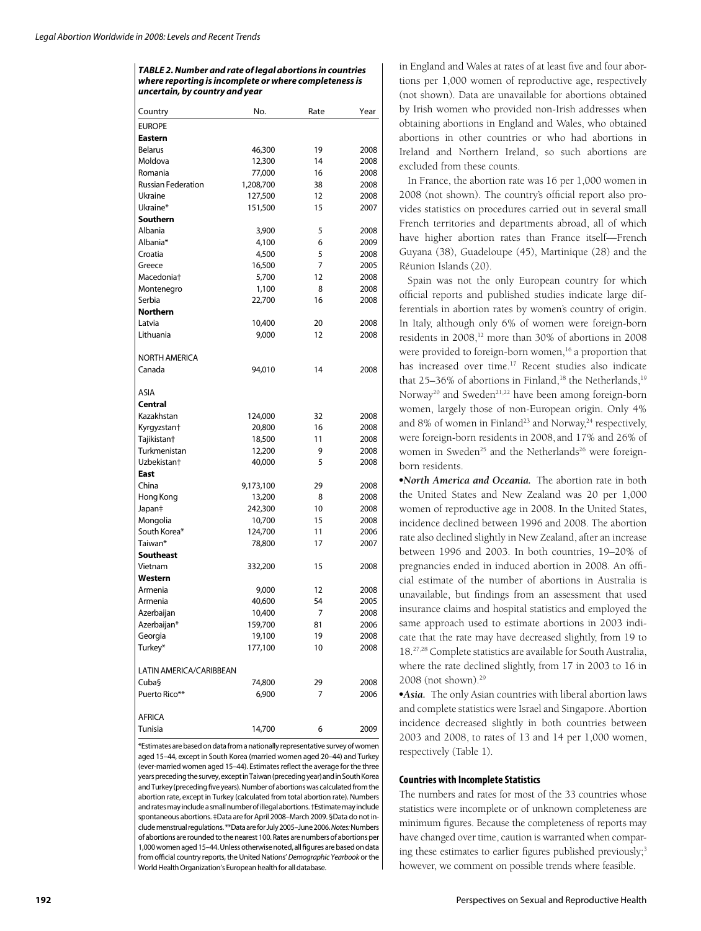*TABLE 2. Number and rate of legal abortions in countries where reporting is incomplete or where completeness is uncertain, by country and year*

| Country                   | No.            | Rate | Year         |
|---------------------------|----------------|------|--------------|
| <b>EUROPE</b>             |                |      |              |
| Eastern                   |                |      |              |
| <b>Belarus</b>            | 46,300         | 19   | 2008         |
| Moldova                   | 12,300         | 14   | 2008         |
| Romania                   | 77,000         | 16   | 2008         |
| <b>Russian Federation</b> | 1,208,700      | 38   | 2008         |
| Ukraine                   | 127,500        | 12   | 2008         |
| Ukraine*                  | 151,500        | 15   | 2007         |
| Southern                  |                |      |              |
| Albania                   |                | 5    | 2008         |
| Albania*                  | 3,900<br>4,100 | 6    |              |
| Croatia                   |                | 5    | 2009<br>2008 |
| Greece                    | 4,500          | 7    |              |
| Macedonia <sup>+</sup>    | 16,500         | 12   | 2005         |
|                           | 5,700          |      | 2008         |
| Montenegro                | 1,100          | 8    | 2008         |
| Serbia                    | 22,700         | 16   | 2008         |
| Northern                  |                |      |              |
| Latvia                    | 10,400         | 20   | 2008         |
| Lithuania                 | 9,000          | 12   | 2008         |
| NORTH AMERICA             |                |      |              |
| Canada                    | 94,010         | 14   | 2008         |
| <b>ASIA</b>               |                |      |              |
| Central                   |                |      |              |
| Kazakhstan                | 124,000        | 32   | 2008         |
| Kyrgyzstan†               | 20,800         | 16   | 2008         |
| Tajikistan <sup>+</sup>   | 18,500         | 11   | 2008         |
| Turkmenistan              | 12,200         | 9    | 2008         |
| Uzbekistan <sup>+</sup>   | 40,000         | 5    | 2008         |
| East                      |                |      |              |
| China                     | 9,173,100      | 29   | 2008         |
| Hong Kong                 | 13,200         | 8    | 2008         |
| Japan‡                    | 242,300        | 10   | 2008         |
| Mongolia                  | 10,700         | 15   | 2008         |
| South Korea*              | 124,700        | 11   | 2006         |
| Taiwan*                   | 78,800         | 17   | 2007         |
| Southeast                 |                |      |              |
| Vietnam                   | 332,200        | 15   | 2008         |
| Western                   |                |      |              |
| Armenia                   | 9,000          | 12   | 2008         |
| Armenia                   | 40,600         | 54   | 2005         |
| Azerbaijan                | 10,400         | 7    | 2008         |
| Azerbaijan*               | 159,700        | 81   | 2006         |
|                           | 19,100         | 19   | 2008         |
| Georgia<br>Turkey*        | 177,100        | 10   | 2008         |
| LATIN AMERICA/CARIBBEAN   |                |      |              |
| Cuba§                     | 74,800         | 29   | 2008         |
| Puerto Rico**             | 6,900          | 7    | 2006         |
|                           |                |      |              |
| <b>AFRICA</b>             |                |      |              |
| Tunisia                   | 14,700         | 6    | 2009         |

\*Estimates are based on data from a nationally representative survey of women aged 15–44, except in South Korea (married women aged 20–44) and Turkey (ever-married women aged 15-44). Estimates reflect the average for the three years preceding the survey, except in Taiwan (preceding year) and in South Korea and Turkey (preceding five years). Number of abortions was calculated from the abortion rate, except in Turkey (calculated from total abortion rate). Numbers and rates may include a small number of illegal abortions. †Estimate may include spontaneous abortions. ‡Data are for April 2008–March 2009. §Data do not include menstrual regulations. \*\*Data are for July 2005–June 2006. *Notes:* Numbers of abortions are rounded to the nearest 100. Rates are numbers of abortions per 1,000 women aged 15-44. Unless otherwise noted, all figures are based on data from official country reports, the United Nations' Demographic Yearbook or the World Health Organization's European health for all database.

in England and Wales at rates of at least five and four abortions per 1,000 women of reproductive age, respectively (not shown). Data are unavailable for abortions obtained by Irish women who provided non-Irish addresses when obtaining abortions in England and Wales, who obtained abortions in other countries or who had abortions in Ireland and Northern Ireland, so such abortions are excluded from these counts.

In France, the abortion rate was 16 per 1,000 women in 2008 (not shown). The country's official report also provides statistics on procedures carried out in several small French territories and departments abroad, all of which have higher abortion rates than France itself—French Guyana (38), Guadeloupe (45), Martinique (28) and the Réunion Islands (20).

Spain was not the only European country for which official reports and published studies indicate large differentials in abortion rates by women's country of origin. In Italy, although only 6% of women were foreign-born residents in 2008,<sup>12</sup> more than 30% of abortions in 2008 were provided to foreign-born women,<sup>16</sup> a proportion that has increased over time.<sup>17</sup> Recent studies also indicate that  $25-36\%$  of abortions in Finland,<sup>18</sup> the Netherlands,<sup>19</sup> Norway<sup>20</sup> and Sweden<sup>21,22</sup> have been among foreign-born women, largely those of non-European origin. Only 4% and 8% of women in Finland<sup>23</sup> and Norway,<sup>24</sup> respectively, were foreign-born residents in 2008, and 17% and 26% of women in Sweden<sup>25</sup> and the Netherlands<sup>26</sup> were foreignborn residents.

-*North America and Oceania.* The abortion rate in both the United States and New Zealand was 20 per 1,000 women of reproductive age in 2008. In the United States, incidence declined between 1996 and 2008. The abortion rate also declined slightly in New Zealand, after an increase between 1996 and 2003. In both countries, 19–20% of pregnancies ended in induced abortion in 2008. An official estimate of the number of abortions in Australia is unavailable, but findings from an assessment that used insurance claims and hospital statistics and employed the same approach used to estimate abortions in 2003 indicate that the rate may have decreased slightly, from 19 to 18.27,28 Complete statistics are available for South Australia, where the rate declined slightly, from 17 in 2003 to 16 in 2008 (not shown).29

-*Asia.* The only Asian countries with liberal abortion laws and complete statistics were Israel and Singapore. Abortion incidence decreased slightly in both countries between 2003 and 2008, to rates of 13 and 14 per 1,000 women, respectively (Table 1).

#### **Countries with Incomplete Statistics**

The numbers and rates for most of the 33 countries whose statistics were incomplete or of unknown completeness are minimum figures. Because the completeness of reports may have changed over time, caution is warranted when comparing these estimates to earlier figures published previously;<sup>3</sup> however, we comment on possible trends where feasible.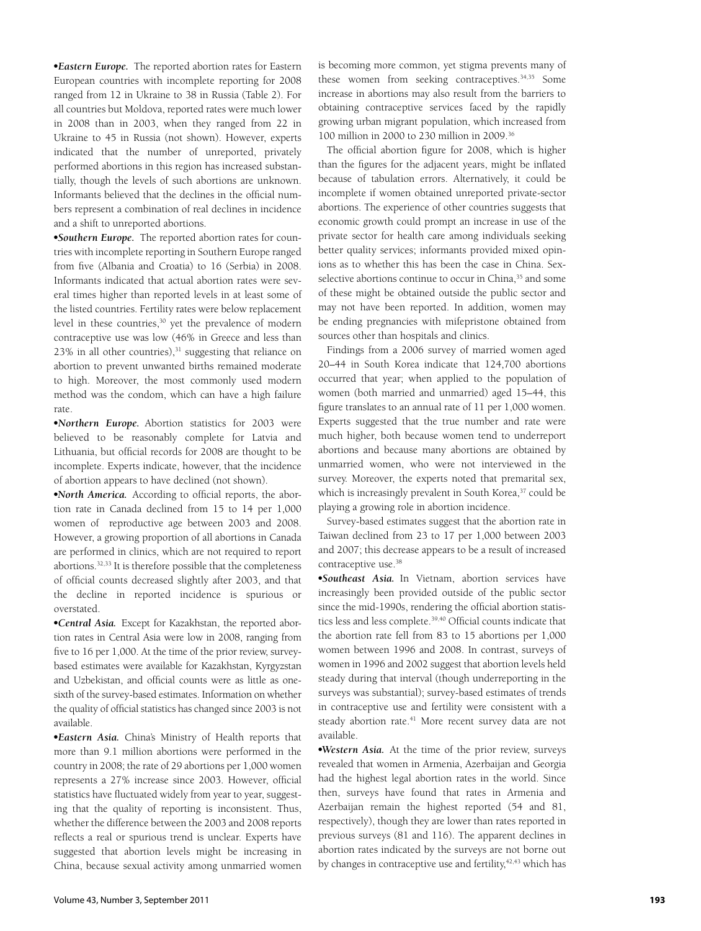-*Eastern Europe.* The reported abortion rates for Eastern European countries with incomplete reporting for 2008 ranged from 12 in Ukraine to 38 in Russia (Table 2). For all countries but Moldova, reported rates were much lower in 2008 than in 2003, when they ranged from 22 in Ukraine to 45 in Russia (not shown). However, experts indicated that the number of unreported, privately performed abortions in this region has increased substantially, though the levels of such abortions are unknown. Informants believed that the declines in the official numbers represent a combination of real declines in incidence and a shift to unreported abortions.

-*Southern Europe.* The reported abortion rates for countries with incomplete reporting in Southern Europe ranged from five (Albania and Croatia) to 16 (Serbia) in 2008. Informants indicated that actual abortion rates were several times higher than reported levels in at least some of the listed countries. Fertility rates were below replacement level in these countries,<sup>30</sup> yet the prevalence of modern contraceptive use was low (46% in Greece and less than  $23\%$  in all other countries), $31$  suggesting that reliance on abortion to prevent unwanted births remained moderate to high. Moreover, the most commonly used modern method was the condom, which can have a high failure rate.

-*Northern Europe.* Abortion statistics for 2003 were believed to be reasonably complete for Latvia and Lithuania, but official records for 2008 are thought to be incomplete. Experts indicate, however, that the incidence of abortion appears to have declined (not shown).

• *North America*. According to official reports, the abortion rate in Canada declined from 15 to 14 per 1,000 women of reproductive age between 2003 and 2008. However, a growing proportion of all abortions in Canada are performed in clinics, which are not required to report abortions.32,33 It is therefore possible that the completeness of official counts decreased slightly after 2003, and that the decline in reported incidence is spurious or overstated.

-*Central Asia.* Except for Kazakhstan, the reported abortion rates in Central Asia were low in 2008, ranging from five to 16 per 1,000. At the time of the prior review, surveybased estimates were available for Kazakhstan, Kyrgyzstan and Uzbekistan, and official counts were as little as onesixth of the survey-based estimates. Information on whether the quality of official statistics has changed since 2003 is not available.

-*Eastern Asia.* China's Ministry of Health reports that more than 9.1 million abortions were performed in the country in 2008; the rate of 29 abortions per 1,000 women represents a 27% increase since 2003. However, official statistics have fluctuated widely from year to year, suggesting that the quality of reporting is inconsistent. Thus, whether the difference between the 2003 and 2008 reports reflects a real or spurious trend is unclear. Experts have suggested that abortion levels might be increasing in China, because sexual activity among unmarried women

is becoming more common, yet stigma prevents many of these women from seeking contraceptives.<sup>34,35</sup> Some increase in abortions may also result from the barriers to obtaining contraceptive services faced by the rapidly growing urban migrant population, which increased from 100 million in 2000 to 230 million in 2009.36

The official abortion figure for 2008, which is higher than the figures for the adjacent years, might be inflated because of tabulation errors. Alternatively, it could be incomplete if women obtained unreported private-sector abortions. The experience of other countries suggests that economic growth could prompt an increase in use of the private sector for health care among individuals seeking better quality services; informants provided mixed opinions as to whether this has been the case in China. Sexselective abortions continue to occur in China,<sup>35</sup> and some of these might be obtained outside the public sector and may not have been reported. In addition, women may be ending pregnancies with mifepristone obtained from sources other than hospitals and clinics.

Findings from a 2006 survey of married women aged 20–44 in South Korea indicate that 124,700 abortions occurred that year; when applied to the population of women (both married and unmarried) aged 15–44, this figure translates to an annual rate of 11 per 1,000 women. Experts suggested that the true number and rate were much higher, both because women tend to underreport abortions and because many abortions are obtained by unmarried women, who were not interviewed in the survey. Moreover, the experts noted that premarital sex, which is increasingly prevalent in South Korea,<sup>37</sup> could be playing a growing role in abortion incidence.

Survey-based estimates suggest that the abortion rate in Taiwan declined from 23 to 17 per 1,000 between 2003 and 2007; this decrease appears to be a result of increased contraceptive use.38

-*Southeast Asia.* In Vietnam, abortion services have increasingly been provided outside of the public sector since the mid-1990s, rendering the official abortion statistics less and less complete.<sup>39,40</sup> Official counts indicate that the abortion rate fell from 83 to 15 abortions per 1,000 women between 1996 and 2008. In contrast, surveys of women in 1996 and 2002 suggest that abortion levels held steady during that interval (though underreporting in the surveys was substantial); survey-based estimates of trends in contraceptive use and fertility were consistent with a steady abortion rate.<sup>41</sup> More recent survey data are not available.

-*Western Asia.* At the time of the prior review, surveys revealed that women in Armenia, Azerbaijan and Georgia had the highest legal abortion rates in the world. Since then, surveys have found that rates in Armenia and Azerbaijan remain the highest reported (54 and 81, respectively), though they are lower than rates reported in previous surveys (81 and 116). The apparent declines in abortion rates indicated by the surveys are not borne out by changes in contraceptive use and fertility,<sup>42,43</sup> which has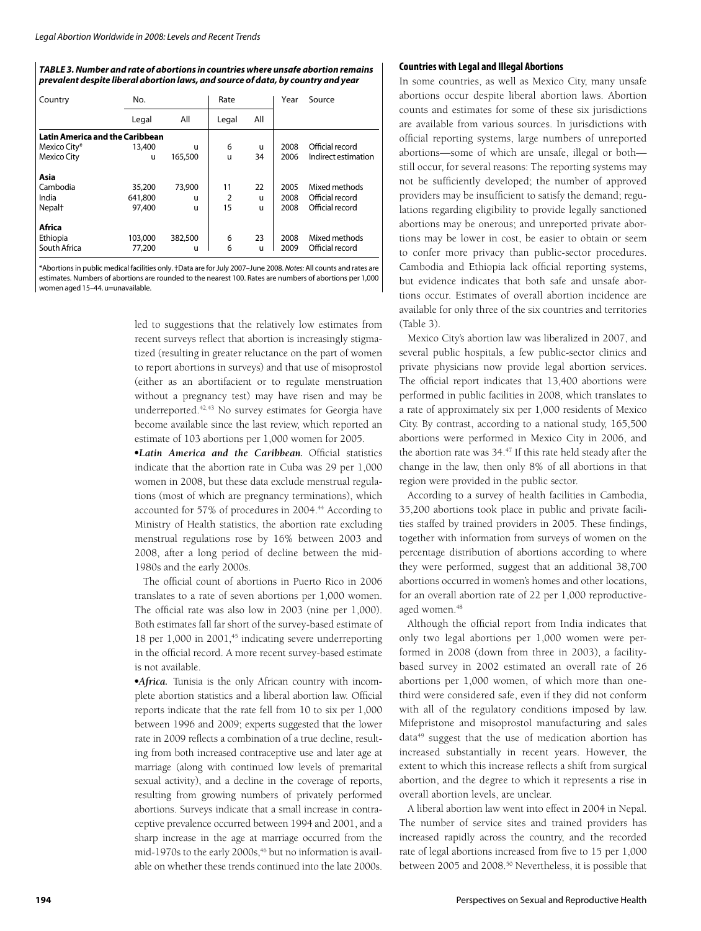#### *TABLE 3. Number and rate of abortions in countries where unsafe abortion remains prevalent despite liberal abortion laws, and source of data, by country and year*

| Country                                | No.     |         | Rate  |     | Year | Source              |
|----------------------------------------|---------|---------|-------|-----|------|---------------------|
|                                        | Legal   | All     | Legal | All |      |                     |
| <b>Latin America and the Caribbean</b> |         |         |       |     |      |                     |
| Mexico City*                           | 13,400  | u       | 6     | u   | 2008 | Official record     |
| <b>Mexico City</b>                     | u       | 165,500 | u     | 34  | 2006 | Indirect estimation |
| Asia                                   |         |         |       |     |      |                     |
| Cambodia                               | 35,200  | 73,900  | 11    | 22  | 2005 | Mixed methods       |
| India                                  | 641,800 | u       | 2     | u   | 2008 | Official record     |
| Nepal <sup>+</sup>                     | 97,400  | u       | 15    | u   | 2008 | Official record     |
| Africa                                 |         |         |       |     |      |                     |
| Ethiopia                               | 103,000 | 382,500 | 6     | 23  | 2008 | Mixed methods       |
| South Africa                           | 77,200  | u       | 6     | u   | 2009 | Official record     |

\*Abortions in public medical facilities only. †Data are for July 2007–June 2008. *Notes:* All counts and rates are estimates. Numbers of abortions are rounded to the nearest 100. Rates are numbers of abortions per 1,000 women aged 15–44. u=unavailable.

> led to suggestions that the relatively low estimates from recent surveys reflect that abortion is increasingly stigmatized (resulting in greater reluctance on the part of women to report abortions in surveys) and that use of misoprostol (either as an abortifacient or to regulate menstruation without a pregnancy test) may have risen and may be underreported.<sup>42,43</sup> No survey estimates for Georgia have become available since the last review, which reported an estimate of 103 abortions per 1,000 women for 2005.

> •Latin America and the Caribbean. Official statistics indicate that the abortion rate in Cuba was 29 per 1,000 women in 2008, but these data exclude menstrual regulations (most of which are pregnancy terminations), which accounted for 57% of procedures in 2004.<sup>44</sup> According to Ministry of Health statistics, the abortion rate excluding menstrual regulations rose by 16% between 2003 and 2008, after a long period of decline between the mid-1980s and the early 2000s.

> The official count of abortions in Puerto Rico in 2006 translates to a rate of seven abortions per 1,000 women. The official rate was also low in  $2003$  (nine per  $1,000$ ). Both estimates fall far short of the survey-based estimate of 18 per 1,000 in 2001,<sup>45</sup> indicating severe underreporting in the official record. A more recent survey-based estimate is not available.

> -*Africa.* Tunisia is the only African country with incomplete abortion statistics and a liberal abortion law. Official reports indicate that the rate fell from 10 to six per 1,000 between 1996 and 2009; experts suggested that the lower rate in 2009 reflects a combination of a true decline, resulting from both increased contraceptive use and later age at marriage (along with continued low levels of premarital sexual activity), and a decline in the coverage of reports, resulting from growing numbers of privately performed abortions. Surveys indicate that a small increase in contraceptive prevalence occurred between 1994 and 2001, and a sharp increase in the age at marriage occurred from the mid-1970s to the early 2000s,<sup>46</sup> but no information is available on whether these trends continued into the late 2000s.

#### **Countries with Legal and Illegal Abortions**

In some countries, as well as Mexico City, many unsafe abortions occur despite liberal abortion laws. Abortion counts and estimates for some of these six jurisdictions are available from various sources. In jurisdictions with official reporting systems, large numbers of unreported abortions—some of which are unsafe, illegal or both still occur, for several reasons: The reporting systems may not be sufficiently developed; the number of approved providers may be insufficient to satisfy the demand; regulations regarding eligibility to provide legally sanctioned abortions may be onerous; and unreported private abortions may be lower in cost, be easier to obtain or seem to confer more privacy than public-sector procedures. Cambodia and Ethiopia lack official reporting systems, but evidence indicates that both safe and unsafe abortions occur. Estimates of overall abortion incidence are available for only three of the six countries and territories (Table 3).

Mexico City's abortion law was liberalized in 2007, and several public hospitals, a few public-sector clinics and private physicians now provide legal abortion services. The official report indicates that 13,400 abortions were performed in public facilities in 2008, which translates to a rate of approximately six per 1,000 residents of Mexico City. By contrast, according to a national study, 165,500 abortions were performed in Mexico City in 2006, and the abortion rate was 34.<sup>47</sup> If this rate held steady after the change in the law, then only 8% of all abortions in that region were provided in the public sector.

According to a survey of health facilities in Cambodia, 35,200 abortions took place in public and private facilities staffed by trained providers in 2005. These findings, together with information from surveys of women on the percentage distribution of abortions according to where they were performed, suggest that an additional 38,700 abortions occurred in women's homes and other locations, for an overall abortion rate of 22 per 1,000 reproductiveaged women.<sup>48</sup>

Although the official report from India indicates that only two legal abortions per 1,000 women were performed in 2008 (down from three in 2003), a facilitybased survey in 2002 estimated an overall rate of 26 abortions per 1,000 women, of which more than onethird were considered safe, even if they did not conform with all of the regulatory conditions imposed by law. Mifepristone and misoprostol manufacturing and sales data<sup>49</sup> suggest that the use of medication abortion has increased substantially in recent years. However, the extent to which this increase reflects a shift from surgical abortion, and the degree to which it represents a rise in overall abortion levels, are unclear.

A liberal abortion law went into effect in 2004 in Nepal. The number of service sites and trained providers has increased rapidly across the country, and the recorded rate of legal abortions increased from five to 15 per 1,000 between 2005 and 2008.<sup>50</sup> Nevertheless, it is possible that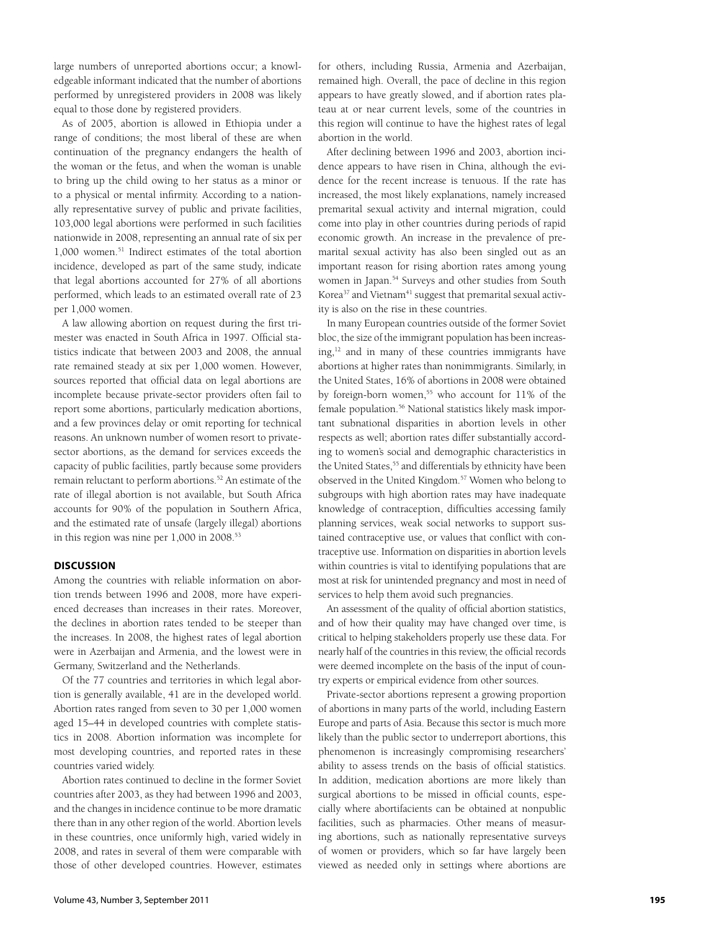large numbers of unreported abortions occur; a knowledgeable informant indicated that the number of abortions performed by unregistered providers in 2008 was likely equal to those done by registered providers.

As of 2005, abortion is allowed in Ethiopia under a range of conditions; the most liberal of these are when continuation of the pregnancy endangers the health of the woman or the fetus, and when the woman is unable to bring up the child owing to her status as a minor or to a physical or mental infirmity. According to a nationally representative survey of public and private facilities, 103,000 legal abortions were performed in such facilities nationwide in 2008, representing an annual rate of six per 1,000 women.<sup>51</sup> Indirect estimates of the total abortion incidence, developed as part of the same study, indicate that legal abortions accounted for 27% of all abortions performed, which leads to an estimated overall rate of 23 per 1,000 women.

A law allowing abortion on request during the first trimester was enacted in South Africa in 1997. Official statistics indicate that between 2003 and 2008, the annual rate remained steady at six per 1,000 women. However, sources reported that official data on legal abortions are incomplete because private-sector providers often fail to report some abortions, particularly medication abortions, and a few provinces delay or omit reporting for technical reasons. An unknown number of women resort to privatesector abortions, as the demand for services exceeds the capacity of public facilities, partly because some providers remain reluctant to perform abortions.<sup>52</sup> An estimate of the rate of illegal abortion is not available, but South Africa accounts for 90% of the population in Southern Africa, and the estimated rate of unsafe (largely illegal) abortions in this region was nine per 1,000 in 2008.<sup>53</sup>

#### **DISCUSSION**

Among the countries with reliable information on abortion trends between 1996 and 2008, more have experienced decreases than increases in their rates. Moreover, the declines in abortion rates tended to be steeper than the increases. In 2008, the highest rates of legal abortion were in Azerbaijan and Armenia, and the lowest were in Germany, Switzerland and the Netherlands.

Of the 77 countries and territories in which legal abortion is generally available, 41 are in the developed world. Abortion rates ranged from seven to 30 per 1,000 women aged 15–44 in developed countries with complete statistics in 2008. Abortion information was incomplete for most developing countries, and reported rates in these countries varied widely.

Abortion rates continued to decline in the former Soviet countries after 2003, as they had between 1996 and 2003, and the changes in incidence continue to be more dramatic there than in any other region of the world. Abortion levels in these countries, once uniformly high, varied widely in 2008, and rates in several of them were comparable with those of other developed countries. However, estimates

for others, including Russia, Armenia and Azerbaijan, remained high. Overall, the pace of decline in this region appears to have greatly slowed, and if abortion rates plateau at or near current levels, some of the countries in this region will continue to have the highest rates of legal abortion in the world.

After declining between 1996 and 2003, abortion incidence appears to have risen in China, although the evidence for the recent increase is tenuous. If the rate has increased, the most likely explanations, namely increased premarital sexual activity and internal migration, could come into play in other countries during periods of rapid economic growth. An increase in the prevalence of premarital sexual activity has also been singled out as an important reason for rising abortion rates among young women in Japan.<sup>54</sup> Surveys and other studies from South Korea<sup>37</sup> and Vietnam<sup>41</sup> suggest that premarital sexual activity is also on the rise in these countries.

In many European countries outside of the former Soviet bloc, the size of the immigrant population has been increasing,12 and in many of these countries immigrants have abortions at higher rates than nonimmigrants. Similarly, in the United States, 16% of abortions in 2008 were obtained by foreign-born women,<sup>55</sup> who account for 11% of the female population.<sup>56</sup> National statistics likely mask important subnational disparities in abortion levels in other respects as well; abortion rates differ substantially according to women's social and demographic characteristics in the United States,<sup>55</sup> and differentials by ethnicity have been observed in the United Kingdom.57 Women who belong to subgroups with high abortion rates may have inadequate knowledge of contraception, difficulties accessing family planning services, weak social networks to support sustained contraceptive use, or values that conflict with contraceptive use. Information on disparities in abortion levels within countries is vital to identifying populations that are most at risk for unintended pregnancy and most in need of services to help them avoid such pregnancies.

An assessment of the quality of official abortion statistics, and of how their quality may have changed over time, is critical to helping stakeholders properly use these data. For nearly half of the countries in this review, the official records were deemed incomplete on the basis of the input of country experts or empirical evidence from other sources.

Private-sector abortions represent a growing proportion of abortions in many parts of the world, including Eastern Europe and parts of Asia. Because this sector is much more likely than the public sector to underreport abortions, this phenomenon is increasingly compromising researchers' ability to assess trends on the basis of official statistics. In addition, medication abortions are more likely than surgical abortions to be missed in official counts, especially where abortifacients can be obtained at nonpublic facilities, such as pharmacies. Other means of measuring abortions, such as nationally representative surveys of women or providers, which so far have largely been viewed as needed only in settings where abortions are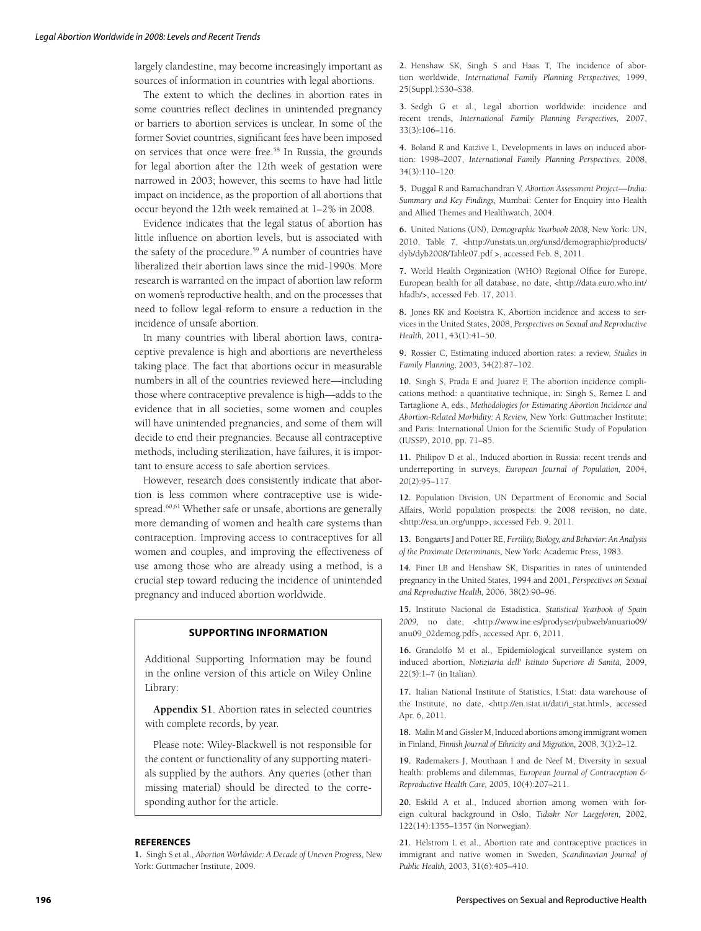largely clandestine, may become increasingly important as sources of information in countries with legal abortions.

The extent to which the declines in abortion rates in some countries reflect declines in unintended pregnancy or barriers to abortion services is unclear. In some of the former Soviet countries, significant fees have been imposed on services that once were free.58 In Russia, the grounds for legal abortion after the 12th week of gestation were narrowed in 2003; however, this seems to have had little impact on incidence, as the proportion of all abortions that occur beyond the 12th week remained at 1–2% in 2008.

Evidence indicates that the legal status of abortion has little influence on abortion levels, but is associated with the safety of the procedure.<sup>59</sup> A number of countries have liberalized their abortion laws since the mid-1990s. More research is warranted on the impact of abortion law reform on women's reproductive health, and on the processes that need to follow legal reform to ensure a reduction in the incidence of unsafe abortion.

In many countries with liberal abortion laws, contraceptive prevalence is high and abortions are nevertheless taking place. The fact that abortions occur in measurable numbers in all of the countries reviewed here—including those where contraceptive prevalence is high—adds to the evidence that in all societies, some women and couples will have unintended pregnancies, and some of them will decide to end their pregnancies. Because all contraceptive methods, including sterilization, have failures, it is important to ensure access to safe abortion services.

However, research does consistently indicate that abortion is less common where contraceptive use is widespread.<sup>60,61</sup> Whether safe or unsafe, abortions are generally more demanding of women and health care systems than contraception. Improving access to contraceptives for all women and couples, and improving the effectiveness of use among those who are already using a method, is a crucial step toward reducing the incidence of unintended pregnancy and induced abortion worldwide.

#### **SUPPORTING INFORMATION**

Additional Supporting Information may be found in the online version of this article on Wiley Online Library:

**Appendix S1**. Abortion rates in selected countries with complete records, by year.

Please note: Wiley-Blackwell is not responsible for the content or functionality of any supporting materials supplied by the authors. Any queries (other than missing material) should be directed to the corresponding author for the article.

#### **REFERENCES**

**1.** Singh S et al., *Abortion Worldwide: A Decade of Uneven Progress,* New York: Guttmacher Institute, 2009.

**2.** Henshaw SK, Singh S and Haas T, The incidence of abortion worldwide, *International Family Planning Perspectives,* 1999, 25(Suppl.):S30–S38.

**3.** Sedgh G et al., Legal abortion worldwide: incidence and recent trends**,** *International Family Planning Perspectives,* 2007, 33(3):106–116.

**4.** Boland R and Katzive L, Developments in laws on induced abortion: 1998–2007, *International Family Planning Perspectives,* 2008, 34(3):110–120.

**5.** Duggal R and Ramachandran V, *Abortion Assessment Project—India: Summary and Key Findings,* Mumbai: Center for Enquiry into Health and Allied Themes and Healthwatch, 2004.

**6.** United Nations (UN), *Demographic Yearbook 2008,* New York: UN, 2010, Table 7, *<*http://unstats.un.org/unsd/demographic/products/ dyb/dyb2008/Table07.pdf >, accessed Feb. 8, 2011.

7. World Health Organization (WHO) Regional Office for Europe, European health for all database, no date, <http://data.euro.who.int/ hfadb/>, accessed Feb. 17, 2011.

**8.** Jones RK and Kooistra K, Abortion incidence and access to services in the United States, 2008, *Perspectives on Sexual and Reproductive Health,* 2011, 43(1):41–50.

**9.** Rossier C, Estimating induced abortion rates: a review, *Studies in Family Planning,* 2003, 34(2):87–102.

**10.** Singh S, Prada E and Juarez F, The abortion incidence complications method: a quantitative technique, in: Singh S, Remez L and Tartaglione A, eds., *Methodologies for Estimating Abortion Incidence and Abortion-Related Morbidity: A Review,* New York: Guttmacher Institute; and Paris: International Union for the Scientific Study of Population (IUSSP), 2010, pp. 71–85.

**11.** Philipov D et al., Induced abortion in Russia: recent trends and underreporting in surveys, *European Journal of Population,* 2004, 20(2):95–117.

**12.** Population Division, UN Department of Economic and Social Affairs, World population prospects: the 2008 revision, no date, <http://esa.un.org/unpp>, accessed Feb. 9, 2011.

**13.** Bongaarts J and Potter RE, *Fertility, Biology, and Behavior: An Analysis of the Proximate Determinants,* New York: Academic Press, 1983.

**14.** Finer LB and Henshaw SK, Disparities in rates of unintended pregnancy in the United States, 1994 and 2001, *Perspectives on Sexual and Reproductive Health,* 2006, 38(2):90–96.

**15.** Instituto Nacional de Estadistica, *Statistical Yearbook of Spain 2009,* no date, <http://www.ine.es/prodyser/pubweb/anuario09/ anu09\_02demog.pdf>, accessed Apr. 6, 2011.

**16.** Grandolfo M et al., Epidemiological surveillance system on induced abortion, *Notiziaria dell' Istituto Superiore di Sanità,* 2009, 22(5):1–7 (in Italian).

**17.** Italian National Institute of Statistics, I.Stat: data warehouse of the Institute, no date, <http://en.istat.it/dati/i\_stat.html>, accessed Apr. 6, 2011.

**18.** Malin M and Gissler M, Induced abortions among immigrant women in Finland, *Finnish Journal of Ethnicity and Migration,* 2008, 3(1):2–12.

**19.** Rademakers J, Mouthaan I and de Neef M, Diversity in sexual health: problems and dilemmas, *European Journal of Contraception & Reproductive Health Care,* 2005, 10(4):207–211.

**20.** Eskild A et al., Induced abortion among women with foreign cultural background in Oslo, *Tidsskr Nor Laegeforen,* 2002, 122(14):1355–1357 (in Norwegian).

**21.** Helstrom L et al., Abortion rate and contraceptive practices in immigrant and native women in Sweden, *Scandinavian Journal of Public Health,* 2003, 31(6):405–410.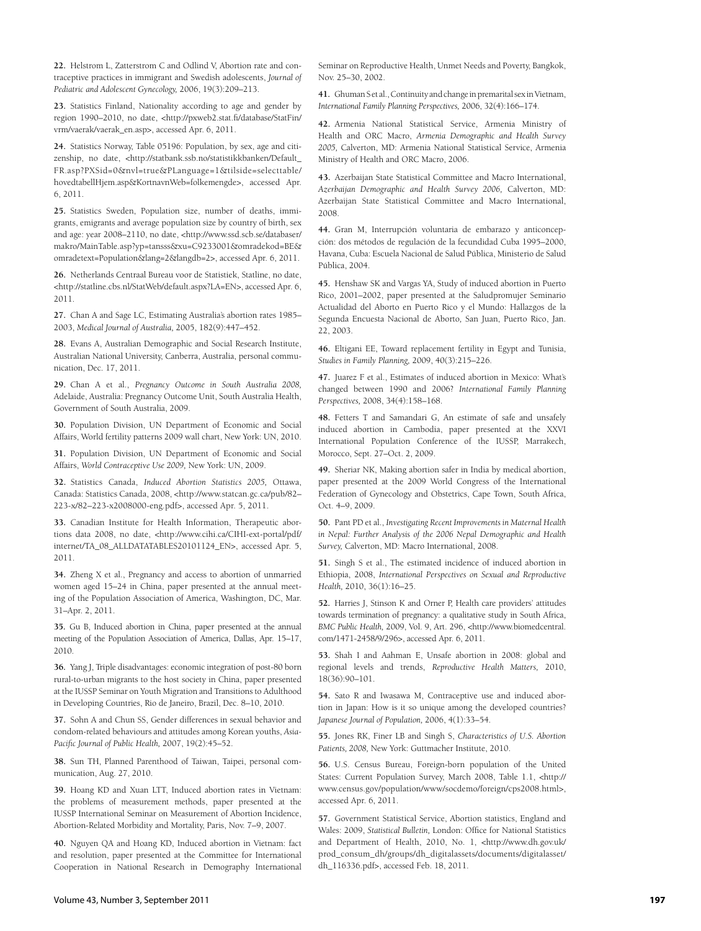**22.** Helstrom L, Zatterstrom C and Odlind V, Abortion rate and contraceptive practices in immigrant and Swedish adolescents, *Journal of Pediatric and Adolescent Gynecology,* 2006, 19(3):209–213.

**23.** Statistics Finland, Nationality according to age and gender by region 1990–2010, no date, <http://pxweb2.stat.fi/database/StatFin/ vrm/vaerak/vaerak\_en.asp>, accessed Apr. 6, 2011.

**24.** Statistics Norway, Table 05196: Population, by sex, age and citizenship, no date, <http://statbank.ssb.no/statistikkbanken/Default\_ FR.asp?PXSid=0&nvl=true&PLanguage=1&tilside=selecttable/ hovedtabellHjem.asp&KortnavnWeb=folkemengde>, accessed Apr. 6, 2011.

**25.** Statistics Sweden, Population size, number of deaths, immigrants, emigrants and average population size by country of birth, sex and age: year 2008–2110, no date, <http://www.ssd.scb.se/databaser/ makro/MainTable.asp?yp=tansss&xu=C9233001&omradekod=BE& omradetext=Population&lang=2&langdb=2>, accessed Apr. 6, 2011.

**26.** Netherlands Centraal Bureau voor de Statistiek, Statline, no date, <http://statline.cbs.nl/StatWeb/default.aspx?LA=EN>, accessed Apr. 6, 2011.

**27.** Chan A and Sage LC, Estimating Australia's abortion rates 1985– 2003, *Medical Journal of Australia,* 2005, 182(9):447–452.

**28.** Evans A, Australian Demographic and Social Research Institute, Australian National University, Canberra, Australia, personal communication, Dec. 17, 2011.

**29.** Chan A et al., *Pregnancy Outcome in South Australia 2008,*  Adelaide, Australia: Pregnancy Outcome Unit, South Australia Health, Government of South Australia, 2009.

**30.** Population Division, UN Department of Economic and Social Affairs, World fertility patterns 2009 wall chart, New York: UN, 2010.

**31.** Population Division, UN Department of Economic and Social Affairs, *World Contraceptive Use 2009,* New York: UN, 2009.

**32.** Statistics Canada, *Induced Abortion Statistics 2005,* Ottawa, Canada: Statistics Canada, 2008, <http://www.statcan.gc.ca/pub/82– 223-x/82–223-x2008000-eng.pdf>, accessed Apr. 5, 2011.

**33.** Canadian Institute for Health Information, Therapeutic abortions data 2008, no date, <http://www.cihi.ca/CIHI-ext-portal/pdf/ internet/TA\_08\_ALLDATATABLES20101124\_EN>, accessed Apr. 5, 2011.

**34.** Zheng X et al., Pregnancy and access to abortion of unmarried women aged 15–24 in China, paper presented at the annual meeting of the Population Association of America, Washington, DC, Mar. 31–Apr. 2, 2011.

**35.** Gu B, Induced abortion in China, paper presented at the annual meeting of the Population Association of America, Dallas, Apr. 15–17, 2010.

**36.** Yang J, Triple disadvantages: economic integration of post-80 born rural-to-urban migrants to the host society in China, paper presented at the IUSSP Seminar on Youth Migration and Transitions to Adulthood in Developing Countries, Rio de Janeiro, Brazil, Dec. 8–10, 2010.

**37.** Sohn A and Chun SS, Gender differences in sexual behavior and condom-related behaviours and attitudes among Korean youths, *Asia-*Pacific Journal of Public Health, 2007, 19(2):45-52.

**38.** Sun TH, Planned Parenthood of Taiwan, Taipei, personal communication, Aug. 27, 2010.

**39.** Hoang KD and Xuan LTT, Induced abortion rates in Vietnam: the problems of measurement methods, paper presented at the IUSSP International Seminar on Measurement of Abortion Incidence, Abortion-Related Morbidity and Mortality, Paris, Nov. 7–9, 2007.

**40.** Nguyen QA and Hoang KD, Induced abortion in Vietnam: fact and resolution, paper presented at the Committee for International Cooperation in National Research in Demography International Seminar on Reproductive Health, Unmet Needs and Poverty, Bangkok, Nov. 25–30, 2002.

**41.** Ghuman S et al., Continuity and change in premarital sex in Vietnam, *International Family Planning Perspectives,* 2006, 32(4):166–174.

**42.** Armenia National Statistical Service, Armenia Ministry of Health and ORC Macro, *Armenia Demographic and Health Survey 2005,* Calverton, MD: Armenia National Statistical Service, Armenia Ministry of Health and ORC Macro, 2006.

**43.** Azerbaijan State Statistical Committee and Macro International, *Azerbaijan Demographic and Health Survey 2006,* Calverton, MD: Azerbaijan State Statistical Committee and Macro International, 2008.

**44.** Gran M, Interrupción voluntaria de embarazo y anticoncepción: dos métodos de regulación de la fecundidad Cuba 1995–2000, Havana, Cuba: Escuela Nacional de Salud Pública, Ministerio de Salud Pública, 2004.

**45.** Henshaw SK and Vargas YA, Study of induced abortion in Puerto Rico, 2001–2002, paper presented at the Saludpromujer Seminario Act ualidad del Aborto en Puerto Rico y el Mundo: Hallazgos de la Segunda Encuesta Nacional de Aborto*,* San Juan, Puerto Rico, Jan. 22, 2003.

**46.** Eltigani EE, Toward replacement fertility in Egypt and Tunisia, *Studies in Family Planning,* 2009, 40(3):215–226.

**47.** Juarez F et al., Estimates of induced abortion in Mexico: What's changed between 1990 and 2006? *International Family Planning Perspectives,* 2008, 34(4):158–168.

**48.** Fetters T and Samandari G, An estimate of safe and unsafely induced abortion in Cambodia, paper presented at the XXVI International Population Conference of the IUSSP, Marrakech, Morocco, Sept. 27–Oct. 2, 2009.

**49.** Sheriar NK, Making abortion safer in India by medical abortion, paper presented at the 2009 World Congress of the International Federation of Gynecology and Obstetrics, Cape Town, South Africa, Oct. 4–9, 2009.

**50.** Pant PD et al., *Investigating Recent Improvements in Maternal Health in Nepal: Further Analysis of the 2006 Nepal Demographic and Health Survey,* Calverton, MD: Macro International, 2008.

**51.** Singh S et al., The estimated incidence of induced abortion in Ethiopia, 2008, *International Perspectives on Sexual and Reproductive Health,* 2010, 36(1):16–25.

**52.** Harries J, Stinson K and Orner P, Health care providers' attitudes towards termination of pregnancy: a qualitative study in South Africa, *BMC Public Health,* 2009, Vol. 9, Art. 296, <http://www.biomedcentral. com/1471-2458/9/296>, accessed Apr. 6, 2011.

**53.** Shah I and Aahman E, Unsafe abortion in 2008: global and regional levels and trends, *Reproductive Health Matters,* 2010, 18(36):90–101.

**54.** Sato R and Iwasawa M, Contraceptive use and induced abortion in Japan: How is it so unique among the developed countries? *Japanese Journal of Population,* 2006, 4(1):33–54.

**55.** Jones RK, Finer LB and Singh S, *Characteristics of U.S. Abortion Patients, 2008,* New York: Guttmacher Institute, 2010.

**56.** U.S. Census Bureau, Foreign-born population of the United States: Current Population Survey, March 2008, Table 1.1, <http:// www.census.gov/population/www/socdemo/foreign/cps2008.html>, accessed Apr. 6, 2011.

**57.** Government Statistical Service, Abortion statistics, England and Wales: 2009, *Statistical Bulletin*, London: Office for National Statistics and Department of Health, 2010, No. 1, <http://www.dh.gov.uk/ prod\_consum\_dh/groups/dh\_digitalassets/documents/digitalasset/ dh\_116336.pdf>, accessed Feb. 18, 2011.